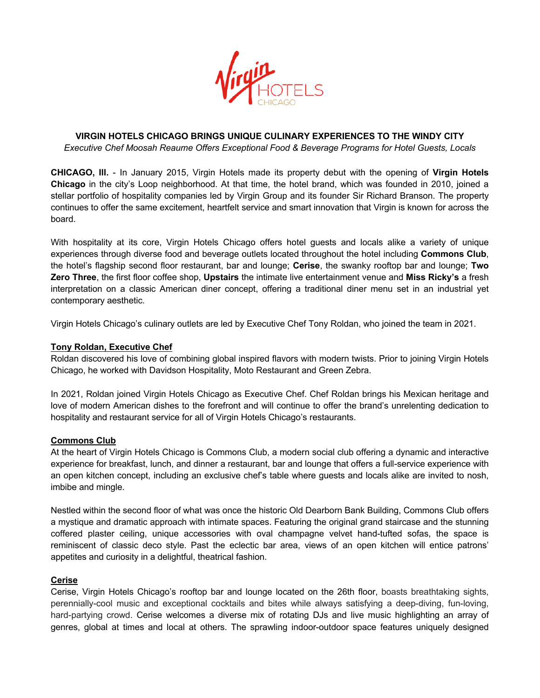

# **VIRGIN HOTELS CHICAGO BRINGS UNIQUE CULINARY EXPERIENCES TO THE WINDY CITY** *Executive Chef Moosah Reaume Offers Exceptional Food & Beverage Programs for Hotel Guests, Locals*

**CHICAGO, Ill.** - In January 2015, Virgin Hotels made its property debut with the opening of **Virgin Hotels Chicago** in the city's Loop neighborhood. At that time, the hotel brand, which was founded in 2010, joined a stellar portfolio of hospitality companies led by Virgin Group and its founder Sir Richard Branson. The property continues to offer the same excitement, heartfelt service and smart innovation that Virgin is known for across the board.

With hospitality at its core, Virgin Hotels Chicago offers hotel guests and locals alike a variety of unique experiences through diverse food and beverage outlets located throughout the hotel including **Commons Club**, the hotel's flagship second floor restaurant, bar and lounge; **Cerise**, the swanky rooftop bar and lounge; **Two Zero Three**, the first floor coffee shop, **Upstairs** the intimate live entertainment venue and **Miss Ricky's** a fresh interpretation on a classic American diner concept, offering a traditional diner menu set in an industrial yet contemporary aesthetic.

Virgin Hotels Chicago's culinary outlets are led by Executive Chef Tony Roldan, who joined the team in 2021.

#### **Tony Roldan, Executive Chef**

Roldan discovered his love of combining global inspired flavors with modern twists. Prior to joining Virgin Hotels Chicago, he worked with Davidson Hospitality, Moto Restaurant and Green Zebra.

In 2021, Roldan joined Virgin Hotels Chicago as Executive Chef. Chef Roldan brings his Mexican heritage and love of modern American dishes to the forefront and will continue to offer the brand's unrelenting dedication to hospitality and restaurant service for all of Virgin Hotels Chicago's restaurants.

#### **Commons Club**

At the heart of Virgin Hotels Chicago is Commons Club, a modern social club offering a dynamic and interactive experience for breakfast, lunch, and dinner a restaurant, bar and lounge that offers a full-service experience with an open kitchen concept, including an exclusive chef's table where guests and locals alike are invited to nosh, imbibe and mingle.

Nestled within the second floor of what was once the historic Old Dearborn Bank Building, Commons Club offers a mystique and dramatic approach with intimate spaces. Featuring the original grand staircase and the stunning coffered plaster ceiling, unique accessories with oval champagne velvet hand-tufted sofas, the space is reminiscent of classic deco style. Past the eclectic bar area, views of an open kitchen will entice patrons' appetites and curiosity in a delightful, theatrical fashion.

# **Cerise**

Cerise, Virgin Hotels Chicago's rooftop bar and lounge located on the 26th floor, boasts breathtaking sights, perennially-cool music and exceptional cocktails and bites while always satisfying a deep-diving, fun-loving, hard-partying crowd. Cerise welcomes a diverse mix of rotating DJs and live music highlighting an array of genres, global at times and local at others. The sprawling indoor-outdoor space features uniquely designed